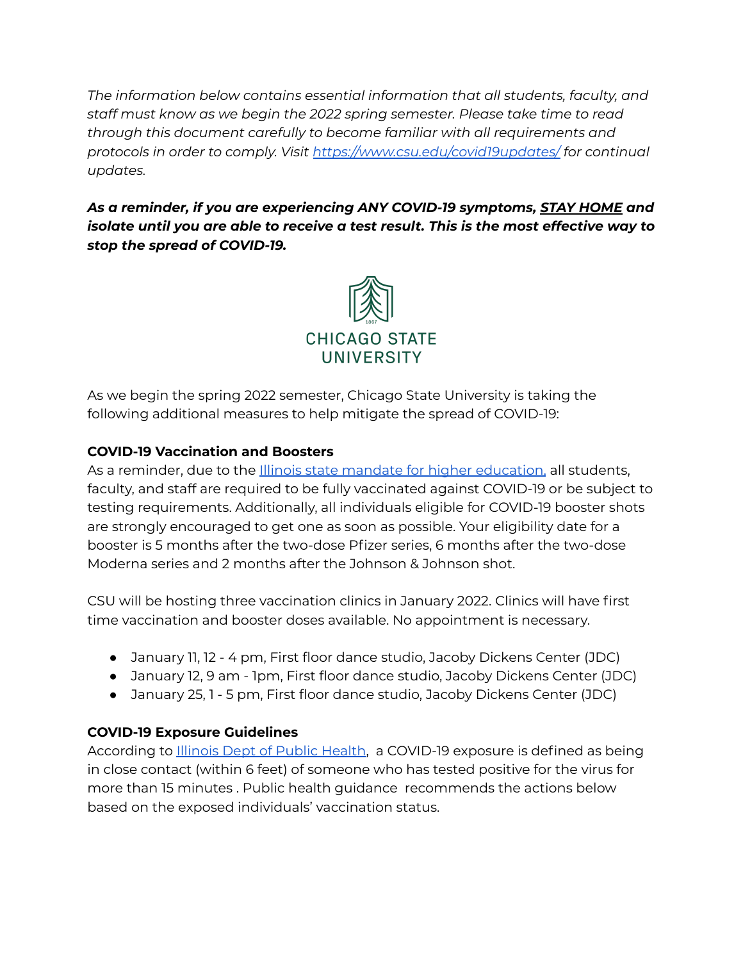*The information below contains essential information that all students, faculty, and staff must know as we begin the 2022 spring semester. Please take time to read through this document carefully to become familiar with all requirements and protocols in order to comply. Visit https:/ [www.csu.edu/covid19updates/](https://www.csu.edu/covid19updates/) for continual updates.*

*As a reminder, if you are experiencing ANY COVID-19 symptoms, STAY HOME and isolate until you are able to receive a test result. This is the most effective way to stop the spread of COVID-19.*



As we begin the spring 2022 semester, Chicago State University is taking the following additional measures to help mitigate the spread of COVID-19:

#### **COVID-19 Vaccination and Boosters**

As a reminder, due to the *Illinois state mandate for higher education*, all students, faculty, and staff are required to be fully vaccinated against COVID-19 or be subject to testing requirements. Additionally, all individuals eligible for COVID-19 booster shots are strongly encouraged to get one as soon as possible. Your eligibility date for a booster is 5 months after the two-dose Pfizer series, 6 months after the two-dose Moderna series and 2 months after the Johnson & Johnson shot.

CSU will be hosting three vaccination clinics in January 2022. Clinics will have first time vaccination and booster doses available. No appointment is necessary.

- January 11, 12 4 pm, First floor dance studio, Jacoby Dickens Center (JDC)
- January 12, 9 am 1pm, First floor dance studio, Jacoby Dickens Center (JDC)
- January 25, 1 5 pm, First floor dance studio, Jacoby Dickens Center (JDC)

# **COVID-19 Exposure Guidelines**

According to **Illinois Dept of Public Health**, a COVID-19 exposure is defined as being in close contact (within 6 feet) of someone who has tested positive for the virus for more than 15 minutes . Public health guidance recommends the actions below based on the exposed individuals' vaccination status.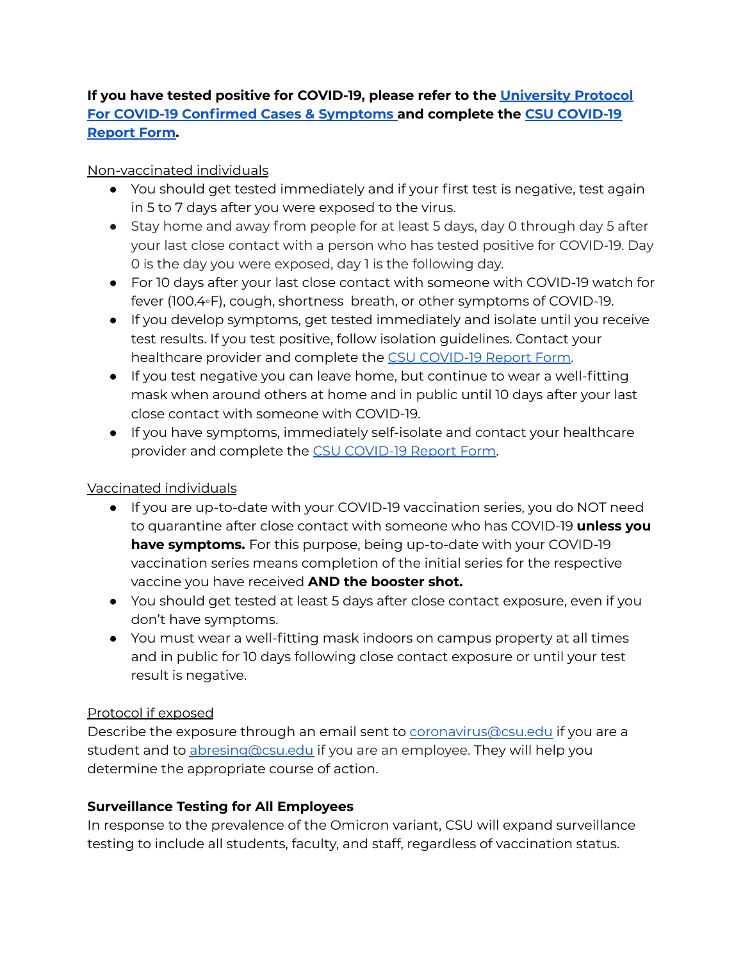#### **If you have tested positive for COVID-19, please refer to the [University](https://www.csu.edu/covid19updates/documents/University_Protocol_Covid-19.pdf) Protocol For COVID-19 [Confirmed](https://www.csu.edu/covid19updates/documents/University_Protocol_Covid-19.pdf) Cases & Symptoms and complete the CSU [COVID-19](https://chicagostate.na2.documents.adobe.com/public/esignWidget?wid=CBFCIBAA3AAABLblqZhBySmOKK8DFBihvQ8MoPj3GkjvKKaofGusvT6BJ0kX5_d3kKwWi0kFo_Pqb0qPgPRI*) [Report](https://chicagostate.na2.documents.adobe.com/public/esignWidget?wid=CBFCIBAA3AAABLblqZhBySmOKK8DFBihvQ8MoPj3GkjvKKaofGusvT6BJ0kX5_d3kKwWi0kFo_Pqb0qPgPRI*) Form.**

#### Non-vaccinated individuals

- You should get tested immediately and if your first test is negative, test again in 5 to 7 days after you were exposed to the virus.
- Stay home and away from people for at least 5 days, day 0 through day 5 after your last close contact with a person who has tested positive for COVID-19. Day 0 is the day you were exposed, day 1 is the following day.
- For 10 days after your last close contact with someone with COVID-19 watch for fever (100.4◦F), cough, shortness breath, or other symptoms of COVID-19.
- If you develop symptoms, get tested immediately and isolate until you receive test results. If you test positive, follow isolation guidelines. Contact your healthcare provider and complete the CSU [COVID-19](https://chicagostate.na2.documents.adobe.com/public/esignWidget?wid=CBFCIBAA3AAABLblqZhBySmOKK8DFBihvQ8MoPj3GkjvKKaofGusvT6BJ0kX5_d3kKwWi0kFo_Pqb0qPgPRI*) Report Form.
- If you test negative you can leave home, but continue to wear a well-fitting mask when around others at home and in public until 10 days after your last close contact with someone with COVID-19.
- If you have symptoms, immediately self-isolate and contact your healthcare provider and complete the CSU [COVID-19](https://chicagostate.na2.documents.adobe.com/public/esignWidget?wid=CBFCIBAA3AAABLblqZhBySmOKK8DFBihvQ8MoPj3GkjvKKaofGusvT6BJ0kX5_d3kKwWi0kFo_Pqb0qPgPRI*) Report Form.

# Vaccinated individuals

- If you are up-to-date with your COVID-19 vaccination series, you do NOT need to quarantine after close contact with someone who has COVID-19 **unless you have symptoms.** For this purpose, being up-to-date with your COVID-19 vaccination series means completion of the initial series for the respective vaccine you have received **AND the booster shot.**
- You should get tested at least 5 days after close contact exposure, even if you don't have symptoms.
- You must wear a well-fitting mask indoors on campus property at all times and in public for 10 days following close contact exposure or until your test result is negative.

# Protocol if exposed

Describe the exposure through an email sent to [coronavirus@csu.edu](mailto:coronavirus@csu.edu) if you are a student and to [abresing@csu.edu](mailto:abresing@csu.edu) if you are an employee. They will help you determine the appropriate course of action.

# **Surveillance Testing for All Employees**

In response to the prevalence of the Omicron variant, CSU will expand surveillance testing to include all students, faculty, and staff, regardless of vaccination status.